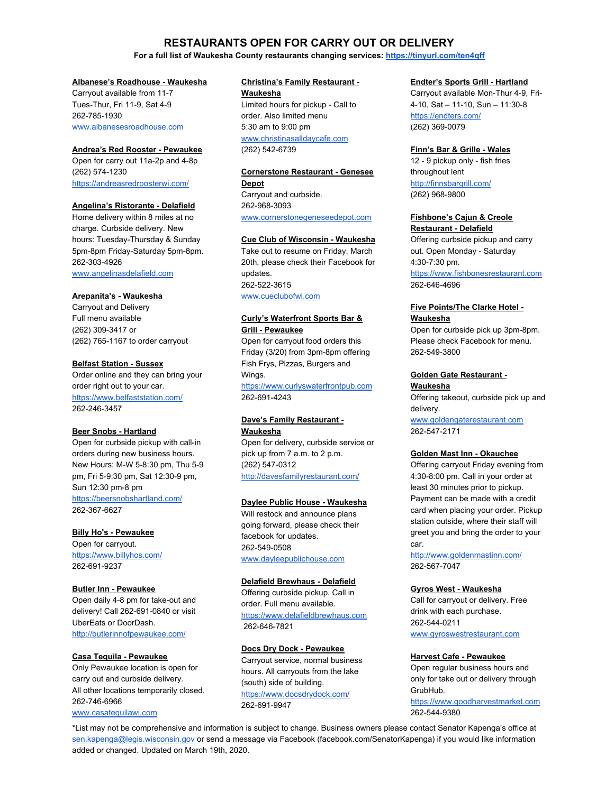# **RESTAURANTS OPEN FOR CARRY OUT OR DELIVERY**

## **For a full list of Waukesha County restaurants changing services: <https://tinyurl.com/ten4qff>**

#### **Albanese's Roadhouse - Waukesha**

Carryout available from 11-7 Tues-Thur, Fri 11-9, Sat 4-9 262-785-1930 [www.albanesesroadhouse.com](http://www.albanesesroadhouse.com/)

#### **Andrea's Red Rooster - Pewaukee**

Open for carry out 11a-2p and 4-8p (262) 574-1230 <https://andreasredroosterwi.com/>

#### **Angelina's Ristorante - Delafield**

Home delivery within 8 miles at no charge. Curbside delivery. New hours: Tuesday-Thursday & Sunday 5pm-8pm Friday-Saturday 5pm-8pm. 262-303-4926 [www.angelinasdelafield.com](http://www.angelinasdelafield.com/)

# **Arepanita's - Waukesha**

Carryout and Delivery Full menu available (262) 309-3417 or (262) 765-1167 to order carryout

## **Belfast Station - Sussex**

Order online and they can bring your order right out to your car. <https://www.belfaststation.com/> 262-246-3457

#### **Beer Snobs - Hartland**

Open for curbside pickup with call-in orders during new business hours. New Hours: M-W 5-8:30 pm, Thu 5-9 pm, Fri 5-9:30 pm, Sat 12:30-9 pm, Sun 12:30 pm-8 pm [https://beersnobshartland.com/](https://beersnobshartland.com/?fbclid=IwAR13VIXXiioLuyHcT0plzsg6SOlbRJwP4TyJHh7uLDiJn4bfubBTZMqYpic) 262-367-6627

## **Billy Ho's - Pewaukee**

Open for carryout. <https://www.billyhos.com/> 262-691-9237

#### **Butler Inn - Pewaukee**

Open daily 4-8 pm for take-out and delivery! Call 262-691-0840 or visit UberEats or DoorDash. <http://butlerinnofpewaukee.com/>

#### **Casa Tequila - Pewaukee**

Only Pewaukee location is open for carry out and curbside delivery. All other locations temporarily closed. 262-746-6966 [www.casatequilawi.com](http://www.casatequilawi.com/)

# **Christina's Family Restaurant -**

**Waukesha** Limited hours for pickup - Call to order. Also limited menu 5:30 am to 9:00 pm [www.christinasalldaycafe.com](http://www.christinasalldaycafe.com/) (262) 542-6739

#### **Cornerstone Restaurant - Genesee Depot**

Carryout and curbside. 262-968-3093 [www.cornerstonegeneseedepot.com](http://www.cornerstonegeneseedepot.com/)

#### **Cue Club of Wisconsin - Waukesha**

Take out to resume on Friday, March 20th, please check their Facebook for updates. 262-522-3615 [www.cueclubofwi.com](http://www.cueclubofwi.com/)

#### **Curly's Waterfront Sports Bar & Grill - Pewaukee**

Open for carryout food orders this Friday (3/20) from 3pm-8pm offering Fish Frys, Pizzas, Burgers and Wings.

[https://www.curlyswaterfrontpub.com](https://www.curlyswaterfrontpub.com/) 262-691-4243

## **Dave's Family Restaurant - Waukesha**

Open for delivery, curbside service or pick up from 7 a.m. to 2 p.m. (262) 547-0312 <http://davesfamilyrestaurant.com/>

#### **Daylee Public House - Waukesha**

Will restock and announce plans going forward, please check their facebook for updates. 262-549-0508

[www.dayleepublichouse.com](http://www.dayleepublichouse.com/)

## **Delafield Brewhaus - Delafield**

Offering curbside pickup. Call in order. Full menu available. [https://www.delafieldbrewhaus.com](https://www.delafieldbrewhaus.com/?fbclid=IwAR1aU_UFmWwjo95lEUshim1EnEOooW6slfCYE_UFz-E0rW3Ex9Xdo0BBYvM) 262-646-7821

#### **Docs Dry Dock - Pewaukee**

Carryout service, normal business hours. All carryouts from the lake (south) side of building. <https://www.docsdrydock.com/> 262-691-9947

## **Endter's Sports Grill - Hartland**

Carryout available Mon-Thur 4-9, Fri-4-10, Sat – 11-10, Sun – 11:30-8 <https://endters.com/> (262) 369-0079

## **Finn's Bar & Grille - Wales**

12 - 9 pickup only - fish fries throughout lent [http://finnsbargrill.com/](http://finnsbargrill.com/?fbclid=IwAR0H5nV8Bpypf57EdEovaGT36NT8Y3wFIXqRHnDajvBtscOzW838jJ3dh4I) (262) 968-9800

## **Fishbone's Cajun & Creole**

**Restaurant - Delafield** Offering curbside pickup and carry out. Open Monday - Saturday 4:30-7:30 pm. [https://www.fishbonesrestaurant.com](https://www.fishbonesrestaurant.com/)

262-646-4696

#### **Five Points/The Clarke Hotel - Waukesha**

Open for curbside pick up 3pm-8pm. Please check Facebook for menu. 262-549-3800

# **Golden Gate Restaurant -**

## **Waukesha**

Offering takeout, curbside pick up and delivery.

[www.goldengaterestaurant.com](http://www.goldengaterestaurant.com/) 262-547-2171

#### **Golden Mast Inn - Okauchee**

Offering carryout Friday evening from 4:30-8:00 pm. Call in your order at least 30 minutes prior to pickup. Payment can be made with a credit card when placing your order. Pickup station outside, where their staff will greet you and bring the order to your car.

<http://www.goldenmastinn.com/> 262-567-7047

#### **Gyros West - Waukesha**

Call for carryout or delivery. Free drink with each purchase. 262-544-0211 [www.gyroswestrestaurant.com](http://www.gyroswestrestaurant.com/)

## **Harvest Cafe - Pewaukee**

Open regular business hours and only for take out or delivery through GrubHub.

[https://www.goodharvestmarket.com](https://www.goodharvestmarket.com/) 262-544-9380

\*List may not be comprehensive and information is subject to change. Business owners please contact Senator Kapenga's office at [sen.kapenga@legis.wisconsin.gov](mailto:sen.kapenga@legis.wisconsin.gov) or send a message via Facebook (facebook.com/SenatorKapenga) if you would like information added or changed. Updated on March 19th, 2020.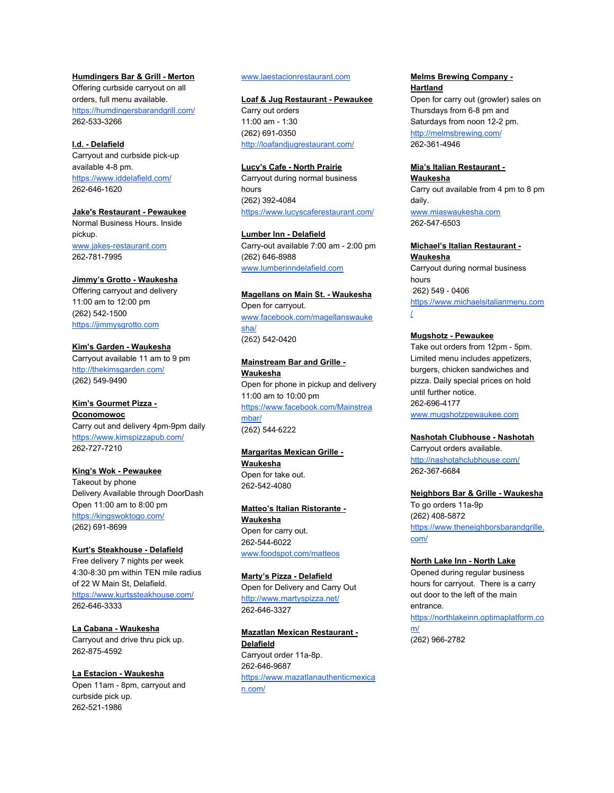## **Humdingers Bar & Grill - Merton**

Offering curbside carryout on all orders, full menu available. <https://humdingersbarandgrill.com/> 262-533-3266

## **I.d. - Delafield**

Carryout and curbside pick-up available 4-8 pm. <https://www.iddelafield.com/> 262-646-1620

## **Jake's Restaurant - Pewaukee**

Normal Business Hours. Inside pickup. [www.jakes-restaurant.com](http://www.jakes-restaurant.com/) 262-781-7995

## **Jimmy's Grotto - Waukesha**

Offering carryout and delivery 11:00 am to 12:00 pm (262) 542-1500 [https://jimmysgrotto.com](https://jimmysgrotto.com/?fbclid=IwAR0TuwY1EA70txTWDnsBQaBT9hCFbGRzI8dW2zJaadxrGCAfmBFGbcW3xNI)

## **Kim's Garden - Waukesha**

Carryout available 11 am to 9 pm <http://thekimsgarden.com/> (262) 549-9490

#### **Kim's Gourmet Pizza - Oconomowoc**

Carry out and delivery 4pm-9pm daily <https://www.kimspizzapub.com/> 262-727-7210

#### **King's Wok - Pewaukee**

Takeout by phone Delivery Available through DoorDash Open 11:00 am to 8:00 pm <https://kingswoktogo.com/> (262) 691-8699

#### **Kurt's Steakhouse - Delafield**

Free delivery 7 nights per week 4:30-8:30 pm within TEN mile radius of 22 W Main St, Delafield. <https://www.kurtssteakhouse.com/> 262-646-3333

**La Cabana - Waukesha** Carryout and drive thru pick up. 262-875-4592

# **La Estacion - Waukesha**

Open 11am - 8pm, carryout and curbside pick up. 262-521-1986

## [www.laestacionrestaurant.com](http://www.laestacionrestaurant.com/)

#### **Loaf & Jug Restaurant - Pewaukee**

Carry out orders 11:00 am - 1:30 (262) 691-0350 <http://loafandjugrestaurant.com/>

#### **Lucy's Cafe - North Prairie**

Carryout during normal business hours (262) 392-4084 <https://www.lucyscaferestaurant.com/>

# **Lumber Inn - Delafield**

Carry-out available 7:00 am - 2:00 pm (262) 646-8988 [www.lumberinndelafield.com](http://www.lumberinndelafield.com/)

#### **Magellans on Main St. - Waukesha**

Open for carryout. [www.facebook.com/magellanswauke](https://www.facebook.com/magellanswaukesha/) [sha/](https://www.facebook.com/magellanswaukesha/) [\(262\)](https://www.google.com/search?q=mainstream+bar+and+grill&rlz=1C5CHFA_enUS811US811&oq=mainstrem+bar+&aqs=chrome.1.69i57j0l7.3017j0j7&sourceid=chrome&ie=UTF-8#) 542-0420

## **Mainstream Bar and Grille - Waukesha** Open for phone in pickup and delivery 11:00 am to 10:00 pm [https://www.facebook.com/Mainstrea](https://www.facebook.com/Mainstreambar/) [mbar/](https://www.facebook.com/Mainstreambar/)

(262) [544-6222](https://www.google.com/search?q=mainstream+bar+and+grill&rlz=1C5CHFA_enUS811US811&oq=mainstrem+bar+&aqs=chrome.1.69i57j0l7.3017j0j7&sourceid=chrome&ie=UTF-8#)

## **Margaritas Mexican Grille - Waukesha** Open for take out.

262-542-4080

## **Matteo's Italian Ristorante -**

**Waukesha** Open for carry out. 262-544-6022 [www.foodspot.com/matteos](http://www.foodspot.com/matteos)

## **Marty's Pizza - Delafield**

Open for Delivery and Carry Out <http://www.martyspizza.net/> 262-646-3327

## **Mazatlan Mexican Restaurant - Delafield** Carryout order 11a-8p. 262-646-9687 [https://www.mazatlanauthenticmexica](https://www.mazatlanauthenticmexican.com/) [n.com/](https://www.mazatlanauthenticmexican.com/)

## **Melms Brewing Company - Hartland**

Open for carry out (growler) sales on Thursdays from 6-8 pm and Saturdays from noon 12-2 pm. <http://melmsbrewing.com/> 262-361-4946

## **Mia's Italian Restaurant -**

**Waukesha** Carry out available from 4 pm to 8 pm daily. [www.miaswaukesha.com](http://www.miaswaukesha.com/) 262-547-6503

#### **Michael's Italian Restaurant - Waukesha**

Carryout during normal business hours 262) 549 - 0406 [https://www.michaelsitalianmenu.com](https://www.michaelsitalianmenu.com/) [/](https://www.michaelsitalianmenu.com/)

## **Mugshotz - Pewaukee**

Take out orders from 12pm - 5pm. Limited menu includes appetizers, burgers, chicken sandwiches and pizza. Daily special prices on hold until further notice. 262-696-4177 [www.mugshotzpewaukee.com](http://www.mugshotzpewaukee.com/)

#### **Nashotah Clubhouse - Nashotah**

Carryout orders available. <http://nashotahclubhouse.com/> 262-367-6684

#### **Neighbors Bar & Grille - Waukesha**

To go orders 11a-9p (262) 408-5872 [https://www.theneighborsbarandgrille.](https://www.theneighborsbarandgrille.com/) [com/](https://www.theneighborsbarandgrille.com/)

## **North Lake Inn - North Lake**

Opened during regular business hours for carryout. There is a carry out door to the left of the main entrance. [https://northlakeinn.optimaplatform.co](https://northlakeinn.optimaplatform.com/) [m/](https://northlakeinn.optimaplatform.com/)

(262) 966-2782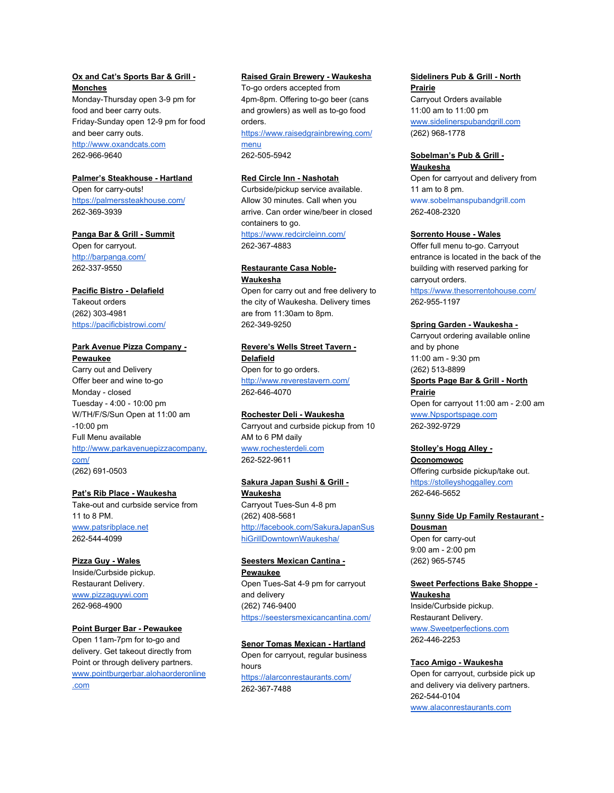## **Ox and Cat's Sports Bar & Grill - Monches**

Monday-Thursday open 3-9 pm for food and beer carry outs. Friday-Sunday open 12-9 pm for food and beer carry outs. [http://www.oxandcats.com](http://www.oxandcats.com/?fbclid=IwAR3_5b1q8CmNgIWaonT5M4TxRz4jmXD8AzvZJpeX0VV8JwsfuanlaeT5G10) 262-966-9640

## **Palmer's Steakhouse - Hartland**

Open for carry-outs! <https://palmerssteakhouse.com/> 262-369-3939

#### **Panga Bar & Grill - Summit**

Open for carryout. <http://barpanga.com/> 262-337-9550

## **Pacific Bistro - Delafield**

Takeout orders (262) 303-4981 <https://pacificbistrowi.com/>

#### **Park Avenue Pizza Company - Pewaukee**

Carry out and Delivery Offer beer and wine to-go Monday - closed Tuesday - 4:00 - 10:00 pm W/TH/F/S/Sun Open at 11:00 am -10:00 pm Full Menu available [http://www.parkavenuepizzacompany.](http://www.parkavenuepizzacompany.com/) [com/](http://www.parkavenuepizzacompany.com/) (262) 691-0503

#### **Pat's Rib Place - Waukesha**

Take-out and curbside service from 11 to 8 PM. [www.patsribplace.net](http://www.patsribplace.net/) 262-544-4099

## **Pizza Guy - Wales**

Inside/Curbside pickup. Restaurant Delivery. [www.pizzaguywi.com](http://www.pizzaguywi.com/) 262-968-4900

#### **Point Burger Bar - Pewaukee**

Open 11am-7pm for to-go and delivery. Get takeout directly from Point or through delivery partners. [www.pointburgerbar.alohaorderonline](http://www.pointburgerbar.alohaorderonline.com/) [.com](http://www.pointburgerbar.alohaorderonline.com/)

## **Raised Grain Brewery - Waukesha**

To-go orders accepted from 4pm-8pm. Offering to-go beer (cans and growlers) as well as to-go food orders.

[https://www.raisedgrainbrewing.com/](https://www.raisedgrainbrewing.com/menu) [menu](https://www.raisedgrainbrewing.com/menu) 262-505-5942

## **Red Circle Inn - Nashotah**

Curbside/pickup service available. Allow 30 minutes. Call when you arrive. Can order wine/beer in closed containers to go. <https://www.redcircleinn.com/> 262-367-4883

## **Restaurante Casa Noble-Waukesha**

Open for carry out and free delivery to the city of Waukesha. Delivery times are from 11:30am to 8pm. 262-349-9250

**Revere's Wells Street Tavern - Delafield** Open for to go orders. <http://www.reverestavern.com/> 262-646-4070

## **Rochester Deli - Waukesha** Carryout and curbside pickup from 10 AM to 6 PM daily [www.rochesterdeli.com](http://www.rochesterdeli.com/) 262-522-9611

# **Sakura Japan Sushi & Grill -**

**Waukesha** Carryout Tues-Sun 4-8 pm (262) 408-5681 [http://facebook.com/SakuraJapanSus](http://facebook.com/SakuraJapanSushiGrillDowntownWaukesha/) [hiGrillDowntownWaukesha/](http://facebook.com/SakuraJapanSushiGrillDowntownWaukesha/)

**Seesters Mexican Cantina - Pewaukee** Open Tues-Sat 4-9 pm for carryout and delivery (262) 746-9400 <https://seestersmexicancantina.com/>

**Senor Tomas Mexican - Hartland** Open for carryout, regular business hours <https://alarconrestaurants.com/> 262-367-7488

## **Sideliners Pub & Grill - North Prairie**

Carryout Orders available 11:00 am to 11:00 pm [www.sidelinerspubandgrill.com](http://www.sidelinerspubandgrill.com/) (262) 968-1778

#### **Sobelman's Pub & Grill - Waukesha**

Open for carryout and delivery from 11 am to 8 pm. [www.sobelmanspubandgrill.com](http://www.sobelmanspubandgrill.com/) 262-408-2320

## **Sorrento House - Wales**

Offer full menu to-go. Carryout entrance is located in the back of the building with reserved parking for carryout orders.

<https://www.thesorrentohouse.com/> 262-955-1197

#### **Spring Garden - Waukesha -**

Carryout ordering available online and by phone 11:00 am - 9:30 pm (262) 513-8899 **Sports Page Bar & Grill - North Prairie** Open for carryout 11:00 am - 2:00 am [www.Npsportspage.com](http://www.npsportspage.com/) 262-392-9729

## **Stolley's Hogg Alley -**

**Oconomowoc** Offering curbside pickup/take out. [https://stolleyshoggalley.com](https://stolleyshoggalley.com/) 262-646-5652

**Sunny Side Up Family Restaurant - Dousman**

Open for carry-out 9:00 am - 2:00 pm (262) 965-5745

## **Sweet Perfections Bake Shoppe - Waukesha**

Inside/Curbside pickup. Restaurant Delivery. [www.Sweetperfections.com](http://www.sweetperfections.com/) 262-446-2253

#### **Taco Amigo - Waukesha**

Open for carryout, curbside pick up and delivery via delivery partners. 262-544-0104 [www.alaconrestaurants.com](http://www.alaconrestaurants.com/)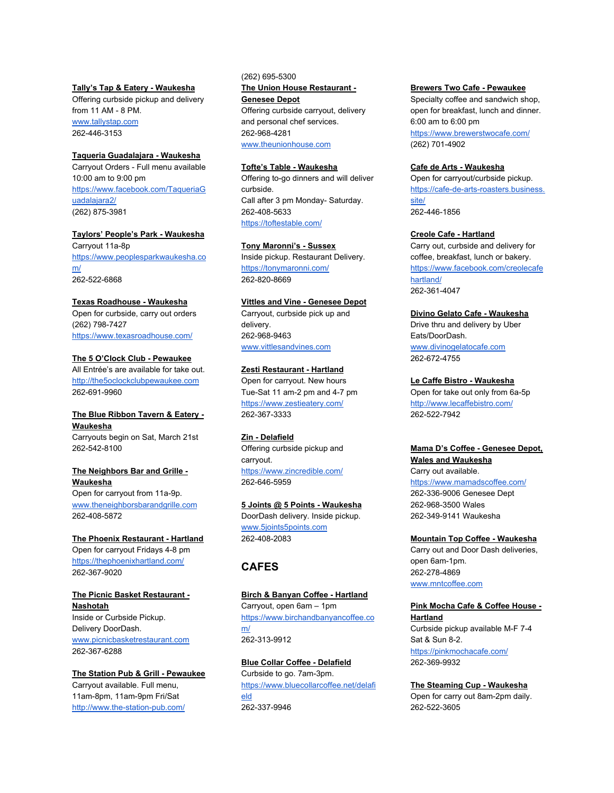## **Tally's Tap & Eatery - Waukesha**

Offering curbside pickup and delivery from 11 AM - 8 PM. [www.tallystap.com](http://www.tallystap.com/) 262-446-3153

#### **Taqueria Guadalajara - Waukesha**

Carryout Orders - Full menu available 10:00 am to 9:00 pm [https://www.facebook.com/TaqueriaG](https://www.facebook.com/TaqueriaGuadalajara2/) [uadalajara2/](https://www.facebook.com/TaqueriaGuadalajara2/) (262) 875-3981

**Taylors' People's Park - Waukesha** Carryout 11a-8p [https://www.peoplesparkwaukesha.co](https://www.peoplesparkwaukesha.com/) [m/](https://www.peoplesparkwaukesha.com/) 262-522-6868

#### **Texas Roadhouse - Waukesha**

Open for curbside, carry out orders (262) 798-7427 <https://www.texasroadhouse.com/>

# **The 5 O'Clock Club - Pewaukee**

All Entrée's are available for take out. [http://the5oclockclubpewaukee.com](http://the5oclockclubpewaukee.com/) 262-691-9960

## **The Blue Ribbon Tavern & Eatery - Waukesha**

Carryouts begin on Sat, March 21st 262-542-8100

# **The Neighbors Bar and Grille - Waukesha**

Open for carryout from 11a-9p. [www.theneighborsbarandgrille.com](http://www.theneighborsbarandgrille.com/) 262-408-5872

## **The Phoenix Restaurant - Hartland** Open for carryout Fridays 4-8 pm <https://thephoenixhartland.com/> 262-367-9020

**The Picnic Basket Restaurant - Nashotah** Inside or Curbside Pickup. Delivery DoorDash. [www.picnicbasketrestaurant.com](http://www.picnicbasketrestaurant.com/) 262-367-6288

## **The Station Pub & Grill - Pewaukee** Carryout available. Full menu, 11am-8pm, 11am-9pm Fri/Sat <http://www.the-station-pub.com/>

(262) 695-5300 **The Union House Restaurant - Genesee Depot** Offering curbside carryout, delivery and personal chef services. 262-968-4281 [www.theunionhouse.com](http://www.theunionhouse.com/)

## **Tofte's Table - Waukesha**

Offering to-go dinners and will deliver curbside. Call after 3 pm Monday- Saturday. 262-408-5633 <https://toftestable.com/>

#### **Tony Maronni's - Sussex**

Inside pickup. Restaurant Delivery. <https://tonymaronni.com/> 262-820-8669

## **Vittles and Vine - Genesee Depot**

Carryout, curbside pick up and delivery. 262-968-9463 [www.vittlesandvines.com](http://www.vittlesandvines.com/)

#### **Zesti Restaurant - Hartland**

Open for carryout. New hours Tue-Sat 11 am-2 pm and 4-7 pm <https://www.zestieatery.com/> 262-367-3333

#### **Zin - Delafield**

Offering curbside pickup and carryout. <https://www.zincredible.com/> 262-646-5959

## **5 Joints @ 5 Points - Waukesha**

DoorDash delivery. Inside pickup. [www.5joints5points.com](http://www.5joints5points.com/) 262-408-2083

# **CAFES**

## **Birch & Banyan Coffee - Hartland** Carryout, open 6am – 1pm [https://www.birchandbanyancoffee.co](https://www.birchandbanyancoffee.com/) [m/](https://www.birchandbanyancoffee.com/) 262-313-9912

**Blue Collar Coffee - Delafield** Curbside to go. 7am-3pm. [https://www.bluecollarcoffee.net/delafi](https://www.bluecollarcoffee.net/delafield) [eld](https://www.bluecollarcoffee.net/delafield) 262-337-9946

## **Brewers Two Cafe - Pewaukee**

Specialty coffee and sandwich shop, open for breakfast, lunch and dinner. 6:00 am to 6:00 pm <https://www.brewerstwocafe.com/> (262) 701-4902

## **Cafe de Arts - Waukesha**

Open for carryout/curbside pickup. [https://cafe-de-arts-roasters.business.](https://cafe-de-arts-roasters.business.site/) [site/](https://cafe-de-arts-roasters.business.site/) 262-446-1856

#### **Creole Cafe - Hartland**

Carry out, curbside and delivery for coffee, breakfast, lunch or bakery. [https://www.facebook.com/creolecafe](https://www.facebook.com/creolecafehartland/) [hartland/](https://www.facebook.com/creolecafehartland/) 262-361-4047

## **Divino Gelato Cafe - Waukesha**

Drive thru and delivery by Uber Eats/DoorDash. [www.divinogelatocafe.com](http://www.divinogelatocafe.com/) 262-672-4755

#### **Le Caffe Bistro - Waukesha**

Open for take out only from 6a-5p <http://www.lecaffebistro.com/> 262-522-7942

# **Mama D's Coffee - Genesee Depot, Wales and Waukesha**

Carry out available. <https://www.mamadscoffee.com/> 262-336-9006 Genesee Dept 262-968-3500 Wales 262-349-9141 Waukesha

#### **Mountain Top Coffee - Waukesha**

Carry out and Door Dash deliveries, open 6am-1pm. 262-278-4869 [www.mntcoffee.com](http://www.mntcoffee.com/)

## **Pink Mocha Cafe & Coffee House - Hartland**

Curbside pickup available M-F 7-4 Sat & Sun 8-2. <https://pinkmochacafe.com/> 262-369-9932

## **The Steaming Cup - Waukesha**

Open for carry out 8am-2pm daily. 262-522-3605